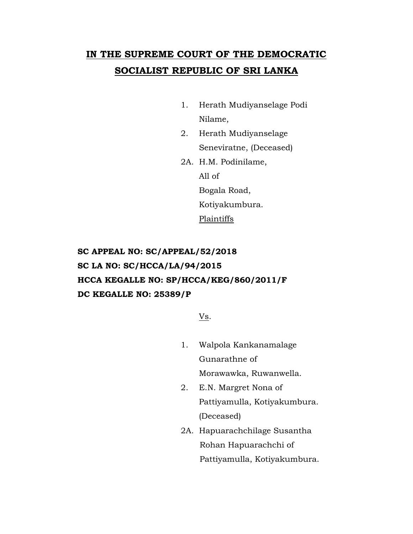# **IN THE SUPREME COURT OF THE DEMOCRATIC SOCIALIST REPUBLIC OF SRI LANKA**

- 1. Herath Mudiyanselage Podi Nilame,
- 2. Herath Mudiyanselage Seneviratne, (Deceased)
- 2A. H.M. Podinilame, All of Bogala Road, Kotiyakumbura. **Plaintiffs**

**SC APPEAL NO: SC/APPEAL/52/2018 SC LA NO: SC/HCCA/LA/94/2015 HCCA KEGALLE NO: SP/HCCA/KEG/860/2011/F DC KEGALLE NO: 25389/P**

Vs.

- 1. Walpola Kankanamalage Gunarathne of Morawawka, Ruwanwella.
- 2. E.N. Margret Nona of Pattiyamulla, Kotiyakumbura. (Deceased)
- 2A. Hapuarachchilage Susantha Rohan Hapuarachchi of Pattiyamulla, Kotiyakumbura.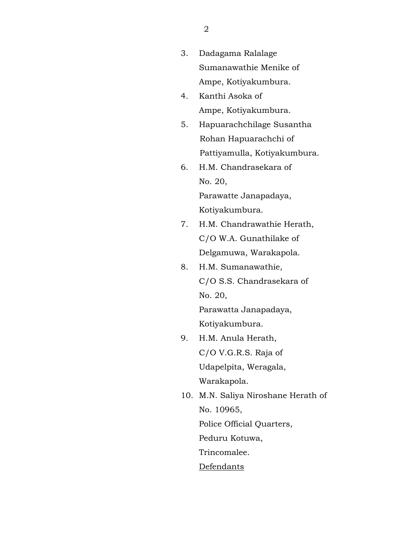- 3. Dadagama Ralalage Sumanawathie Menike of Ampe, Kotiyakumbura.
- 4. Kanthi Asoka of Ampe, Kotiyakumbura.
- 5. Hapuarachchilage Susantha Rohan Hapuarachchi of Pattiyamulla, Kotiyakumbura.
- 6. H.M. Chandrasekara of No. 20, Parawatte Janapadaya,

Kotiyakumbura.

- 7. H.M. Chandrawathie Herath, C/O W.A. Gunathilake of Delgamuwa, Warakapola.
- 8. H.M. Sumanawathie, C/O S.S. Chandrasekara of No. 20,

Parawatta Janapadaya, Kotiyakumbura.

- 9. H.M. Anula Herath, C/O V.G.R.S. Raja of Udapelpita, Weragala, Warakapola.
- 10. M.N. Saliya Niroshane Herath of No. 10965, Police Official Quarters, Peduru Kotuwa, Trincomalee. Defendants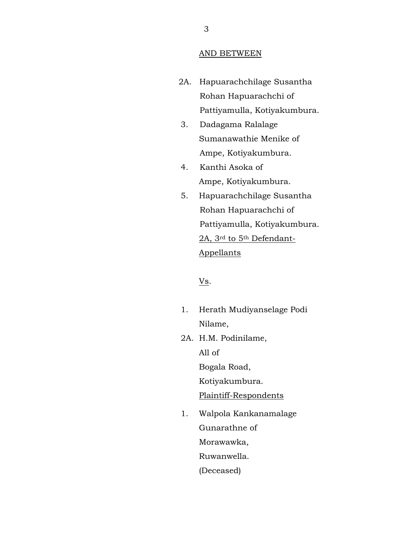#### AND BETWEEN

- 2A. Hapuarachchilage Susantha Rohan Hapuarachchi of Pattiyamulla, Kotiyakumbura.
	- 3. Dadagama Ralalage Sumanawathie Menike of Ampe, Kotiyakumbura.
	- 4. Kanthi Asoka of Ampe, Kotiyakumbura.
- 5. Hapuarachchilage Susantha Rohan Hapuarachchi of Pattiyamulla, Kotiyakumbura. 2A, 3rd to 5th Defendant-Appellants

## V<sub>s</sub>.

- 1. Herath Mudiyanselage Podi Nilame,
- 2A. H.M. Podinilame, All of Bogala Road, Kotiyakumbura. Plaintiff-Respondents
- 1. Walpola Kankanamalage Gunarathne of Morawawka, Ruwanwella. (Deceased)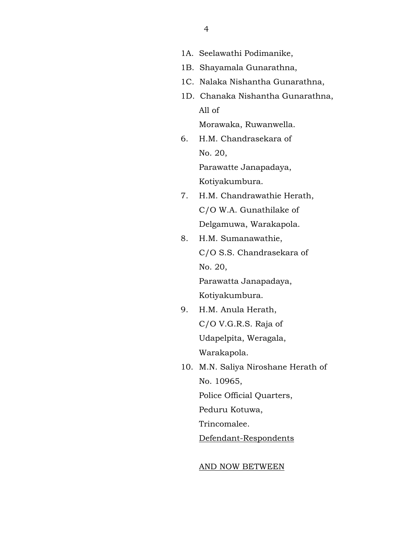- 1A. Seelawathi Podimanike,
- 1B. Shayamala Gunarathna,
- 1C. Nalaka Nishantha Gunarathna,
- 1D. Chanaka Nishantha Gunarathna, All of

Morawaka, Ruwanwella.

6. H.M. Chandrasekara of No. 20,

Parawatte Janapadaya,

Kotiyakumbura.

- 7. H.M. Chandrawathie Herath, C/O W.A. Gunathilake of Delgamuwa, Warakapola.
- 8. H.M. Sumanawathie, C/O S.S. Chandrasekara of No. 20,

Parawatta Janapadaya, Kotiyakumbura.

- 9. H.M. Anula Herath, C/O V.G.R.S. Raja of Udapelpita, Weragala, Warakapola.
- 10. M.N. Saliya Niroshane Herath of No. 10965,

Police Official Quarters,

Peduru Kotuwa,

Trincomalee.

Defendant-Respondents

### AND NOW BETWEEN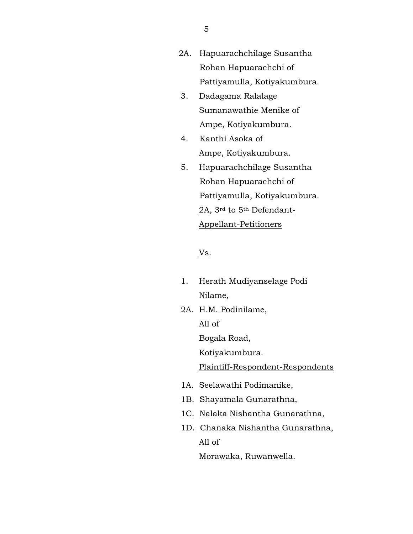- 2A. Hapuarachchilage Susantha Rohan Hapuarachchi of Pattiyamulla, Kotiyakumbura.
- 3. Dadagama Ralalage Sumanawathie Menike of Ampe, Kotiyakumbura.
- 4. Kanthi Asoka of Ampe, Kotiyakumbura.
- 5. Hapuarachchilage Susantha Rohan Hapuarachchi of Pattiyamulla, Kotiyakumbura. 2A, 3rd to 5th Defendant-Appellant-Petitioners

## $\underline{\mathbf{V}}\underline{\mathbf{s}}$ .

- 1. Herath Mudiyanselage Podi Nilame,
- 2A. H.M. Podinilame, All of Bogala Road, Kotiyakumbura. Plaintiff-Respondent-Respondents
- 1A. Seelawathi Podimanike,
- 1B. Shayamala Gunarathna,
- 1C. Nalaka Nishantha Gunarathna,
- 1D. Chanaka Nishantha Gunarathna, All of

Morawaka, Ruwanwella.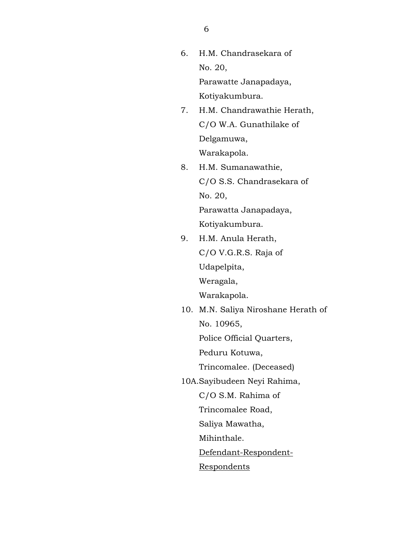6. H.M. Chandrasekara of No. 20,

> Parawatte Janapadaya, Kotiyakumbura.

- 7. H.M. Chandrawathie Herath, C/O W.A. Gunathilake of Delgamuwa, Warakapola.
- 8. H.M. Sumanawathie, C/O S.S. Chandrasekara of No. 20,

Parawatta Janapadaya, Kotiyakumbura.

- 9. H.M. Anula Herath, C/O V.G.R.S. Raja of Udapelpita, Weragala, Warakapola.
- 10. M.N. Saliya Niroshane Herath of No. 10965, Police Official Quarters,

Peduru Kotuwa,

Trincomalee. (Deceased)

10A.Sayibudeen Neyi Rahima,

C/O S.M. Rahima of

Trincomalee Road,

Saliya Mawatha,

Mihinthale.

Defendant-Respondent-

Respondents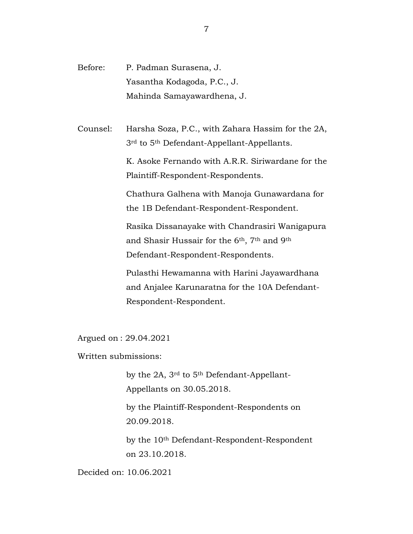Before: P. Padman Surasena, J. Yasantha Kodagoda, P.C., J. Mahinda Samayawardhena, J.

Counsel: Harsha Soza, P.C., with Zahara Hassim for the 2A, 3rd to 5th Defendant-Appellant-Appellants.

> K. Asoke Fernando with A.R.R. Siriwardane for the Plaintiff-Respondent-Respondents.

Chathura Galhena with Manoja Gunawardana for the 1B Defendant-Respondent-Respondent.

Rasika Dissanayake with Chandrasiri Wanigapura and Shasir Hussair for the 6th, 7th and 9th Defendant-Respondent-Respondents.

Pulasthi Hewamanna with Harini Jayawardhana and Anjalee Karunaratna for the 10A Defendant-Respondent-Respondent.

Argued on : 29.04.2021

Written submissions:

by the 2A, 3rd to 5th Defendant-Appellant-Appellants on 30.05.2018.

by the Plaintiff-Respondent-Respondents on 20.09.2018.

by the 10th Defendant-Respondent-Respondent on 23.10.2018.

Decided on: 10.06.2021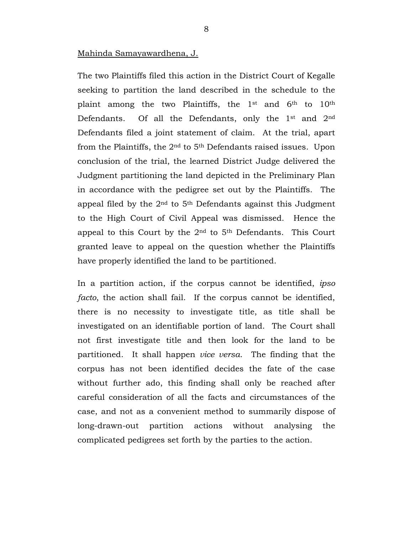## Mahinda Samayawardhena, J.

The two Plaintiffs filed this action in the District Court of Kegalle seeking to partition the land described in the schedule to the plaint among the two Plaintiffs, the 1st and 6th to 10th Defendants. Of all the Defendants, only the 1st and 2nd Defendants filed a joint statement of claim. At the trial, apart from the Plaintiffs, the 2nd to 5th Defendants raised issues. Upon conclusion of the trial, the learned District Judge delivered the Judgment partitioning the land depicted in the Preliminary Plan in accordance with the pedigree set out by the Plaintiffs. The appeal filed by the 2nd to 5th Defendants against this Judgment to the High Court of Civil Appeal was dismissed. Hence the appeal to this Court by the 2nd to 5th Defendants. This Court granted leave to appeal on the question whether the Plaintiffs have properly identified the land to be partitioned.

In a partition action, if the corpus cannot be identified, *ipso facto*, the action shall fail. If the corpus cannot be identified, there is no necessity to investigate title, as title shall be investigated on an identifiable portion of land. The Court shall not first investigate title and then look for the land to be partitioned. It shall happen *vice versa*. The finding that the corpus has not been identified decides the fate of the case without further ado, this finding shall only be reached after careful consideration of all the facts and circumstances of the case, and not as a convenient method to summarily dispose of long-drawn-out partition actions without analysing the complicated pedigrees set forth by the parties to the action.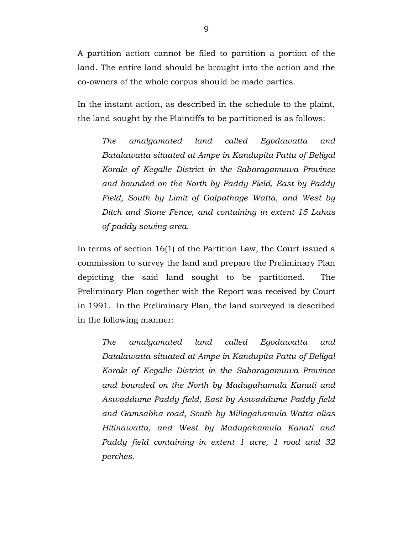A partition action cannot be filed to partition a portion of the land. The entire land should be brought into the action and the co-owners of the whole corpus should be made parties.

In the instant action, as described in the schedule to the plaint, the land sought by the Plaintiffs to be partitioned is as follows:

*The amalgamated land called Egodawatta and Batalawatta situated at Ampe in Kandupita Pattu of Beligal Korale of Kegalle District in the Sabaragamuwa Province and bounded on the North by Paddy Field, East by Paddy Field, South by Limit of Galpathage Watta, and West by Ditch and Stone Fence, and containing in extent 15 Lahas of paddy sowing area.* 

In terms of section 16(1) of the Partition Law, the Court issued a commission to survey the land and prepare the Preliminary Plan depicting the said land sought to be partitioned. The Preliminary Plan together with the Report was received by Court in 1991. In the Preliminary Plan, the land surveyed is described in the following manner:

*The amalgamated land called Egodawatta and Batalawatta situated at Ampe in Kandupita Pattu of Beligal Korale of Kegalle District in the Sabaragamuwa Province and bounded on the North by Madugahamula Kanati and Aswaddume Paddy field, East by Aswaddume Paddy field and Gamsabha road, South by Millagahamula Watta alias Hitinawatta, and West by Madugahamula Kanati and Paddy field containing in extent 1 acre, 1 rood and 32 perches.*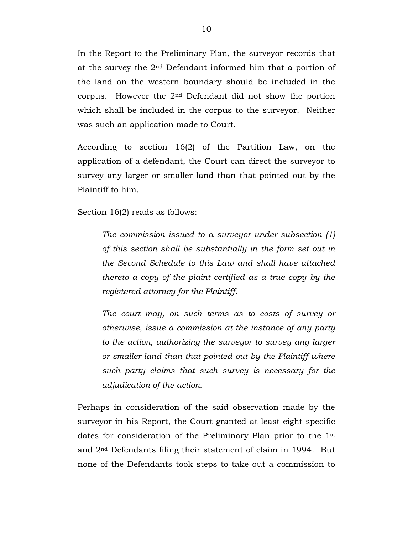In the Report to the Preliminary Plan, the surveyor records that at the survey the 2nd Defendant informed him that a portion of the land on the western boundary should be included in the corpus. However the 2nd Defendant did not show the portion which shall be included in the corpus to the surveyor. Neither was such an application made to Court.

According to section 16(2) of the Partition Law, on the application of a defendant, the Court can direct the surveyor to survey any larger or smaller land than that pointed out by the Plaintiff to him.

Section 16(2) reads as follows:

*The commission issued to a surveyor under subsection (1) of this section shall be substantially in the form set out in the Second Schedule to this Law and shall have attached thereto a copy of the plaint certified as a true copy by the registered attorney for the Plaintiff.* 

*The court may, on such terms as to costs of survey or otherwise, issue a commission at the instance of any party to the action, authorizing the surveyor to survey any larger or smaller land than that pointed out by the Plaintiff where such party claims that such survey is necessary for the adjudication of the action.*

Perhaps in consideration of the said observation made by the surveyor in his Report, the Court granted at least eight specific dates for consideration of the Preliminary Plan prior to the 1st and 2nd Defendants filing their statement of claim in 1994. But none of the Defendants took steps to take out a commission to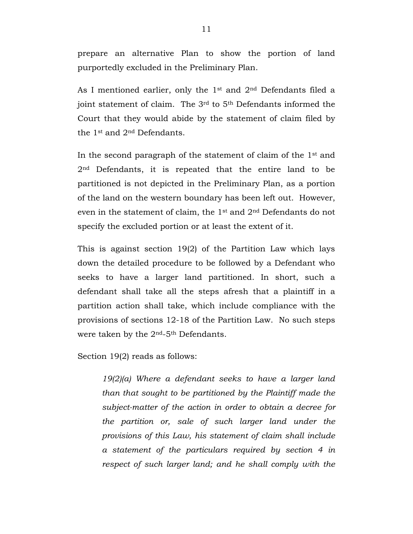prepare an alternative Plan to show the portion of land purportedly excluded in the Preliminary Plan.

As I mentioned earlier, only the 1st and 2nd Defendants filed a joint statement of claim. The 3<sup>rd</sup> to 5<sup>th</sup> Defendants informed the Court that they would abide by the statement of claim filed by the 1st and 2nd Defendants.

In the second paragraph of the statement of claim of the 1st and 2nd Defendants, it is repeated that the entire land to be partitioned is not depicted in the Preliminary Plan, as a portion of the land on the western boundary has been left out. However, even in the statement of claim, the 1st and 2nd Defendants do not specify the excluded portion or at least the extent of it.

This is against section 19(2) of the Partition Law which lays down the detailed procedure to be followed by a Defendant who seeks to have a larger land partitioned. In short, such a defendant shall take all the steps afresh that a plaintiff in a partition action shall take, which include compliance with the provisions of sections 12-18 of the Partition Law. No such steps were taken by the 2nd-5th Defendants.

Section 19(2) reads as follows:

*19(2)(a) Where a defendant seeks to have a larger land than that sought to be partitioned by the Plaintiff made the subject-matter of the action in order to obtain a decree for the partition or, sale of such larger land under the provisions of this Law, his statement of claim shall include a statement of the particulars required by section 4 in respect of such larger land; and he shall comply with the*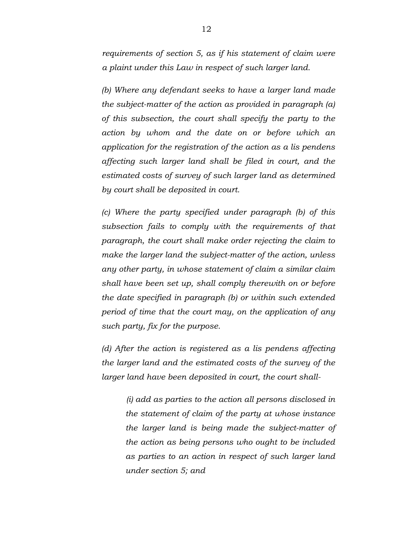*requirements of section 5, as if his statement of claim were a plaint under this Law in respect of such larger land.*

*(b) Where any defendant seeks to have a larger land made the subject-matter of the action as provided in paragraph (a) of this subsection, the court shall specify the party to the action by whom and the date on or before which an application for the registration of the action as a lis pendens affecting such larger land shall be filed in court, and the estimated costs of survey of such larger land as determined by court shall be deposited in court.*

*(c) Where the party specified under paragraph (b) of this subsection fails to comply with the requirements of that paragraph, the court shall make order rejecting the claim to make the larger land the subject-matter of the action, unless any other party, in whose statement of claim a similar claim shall have been set up, shall comply therewith on or before the date specified in paragraph (b) or within such extended period of time that the court may, on the application of any such party, fix for the purpose.*

*(d) After the action is registered as a lis pendens affecting the larger land and the estimated costs of the survey of the larger land have been deposited in court, the court shall-*

> *(i) add as parties to the action all persons disclosed in the statement of claim of the party at whose instance the larger land is being made the subject-matter of the action as being persons who ought to be included as parties to an action in respect of such larger land under section 5; and*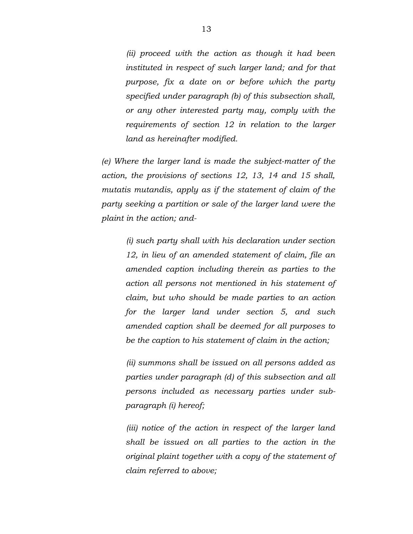*(ii) proceed with the action as though it had been instituted in respect of such larger land; and for that purpose, fix a date on or before which the party specified under paragraph (b) of this subsection shall, or any other interested party may, comply with the requirements of section 12 in relation to the larger land as hereinafter modified.*

*(e) Where the larger land is made the subject-matter of the action, the provisions of sections 12, 13, 14 and 15 shall, mutatis mutandis, apply as if the statement of claim of the party seeking a partition or sale of the larger land were the plaint in the action; and-*

> *(i) such party shall with his declaration under section 12, in lieu of an amended statement of claim, file an amended caption including therein as parties to the action all persons not mentioned in his statement of claim, but who should be made parties to an action for the larger land under section 5, and such amended caption shall be deemed for all purposes to be the caption to his statement of claim in the action;*

> *(ii) summons shall be issued on all persons added as parties under paragraph (d) of this subsection and all persons included as necessary parties under subparagraph (i) hereof;*

> *(iii) notice of the action in respect of the larger land shall be issued on all parties to the action in the original plaint together with a copy of the statement of claim referred to above;*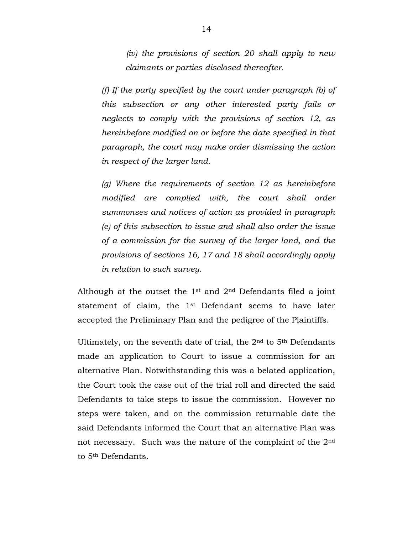*(iv) the provisions of section 20 shall apply to new claimants or parties disclosed thereafter.*

*(f) If the party specified by the court under paragraph (b) of this subsection or any other interested party fails or neglects to comply with the provisions of section 12, as hereinbefore modified on or before the date specified in that paragraph, the court may make order dismissing the action in respect of the larger land.*

*(g) Where the requirements of section 12 as hereinbefore modified are complied with, the court shall order summonses and notices of action as provided in paragraph (e) of this subsection to issue and shall also order the issue of a commission for the survey of the larger land, and the provisions of sections 16, 17 and 18 shall accordingly apply in relation to such survey.*

Although at the outset the 1st and 2nd Defendants filed a joint statement of claim, the 1st Defendant seems to have later accepted the Preliminary Plan and the pedigree of the Plaintiffs.

Ultimately, on the seventh date of trial, the  $2<sup>nd</sup>$  to  $5<sup>th</sup>$  Defendants made an application to Court to issue a commission for an alternative Plan. Notwithstanding this was a belated application, the Court took the case out of the trial roll and directed the said Defendants to take steps to issue the commission. However no steps were taken, and on the commission returnable date the said Defendants informed the Court that an alternative Plan was not necessary. Such was the nature of the complaint of the 2nd to 5th Defendants.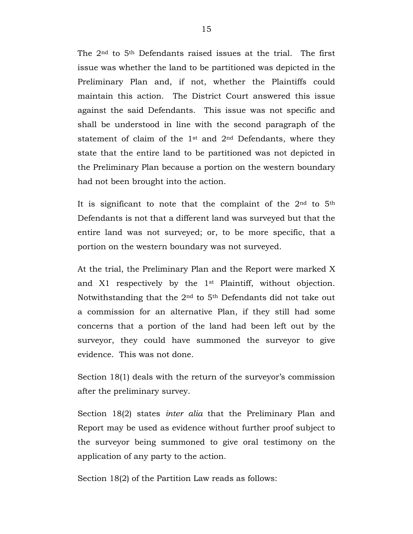The 2nd to 5th Defendants raised issues at the trial. The first issue was whether the land to be partitioned was depicted in the Preliminary Plan and, if not, whether the Plaintiffs could maintain this action. The District Court answered this issue against the said Defendants. This issue was not specific and shall be understood in line with the second paragraph of the statement of claim of the 1st and 2nd Defendants, where they state that the entire land to be partitioned was not depicted in the Preliminary Plan because a portion on the western boundary had not been brought into the action.

It is significant to note that the complaint of the  $2<sup>nd</sup>$  to  $5<sup>th</sup>$ Defendants is not that a different land was surveyed but that the entire land was not surveyed; or, to be more specific, that a portion on the western boundary was not surveyed.

At the trial, the Preliminary Plan and the Report were marked X and X1 respectively by the 1st Plaintiff, without objection. Notwithstanding that the 2nd to 5th Defendants did not take out a commission for an alternative Plan, if they still had some concerns that a portion of the land had been left out by the surveyor, they could have summoned the surveyor to give evidence. This was not done.

Section 18(1) deals with the return of the surveyor's commission after the preliminary survey.

Section 18(2) states *inter alia* that the Preliminary Plan and Report may be used as evidence without further proof subject to the surveyor being summoned to give oral testimony on the application of any party to the action.

Section 18(2) of the Partition Law reads as follows: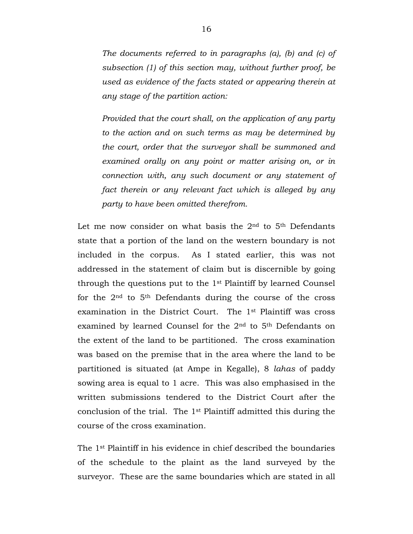*The documents referred to in paragraphs (a), (b) and (c) of subsection (1) of this section may, without further proof, be used as evidence of the facts stated or appearing therein at any stage of the partition action:*

*Provided that the court shall, on the application of any party to the action and on such terms as may be determined by the court, order that the surveyor shall be summoned and examined orally on any point or matter arising on, or in connection with, any such document or any statement of fact therein or any relevant fact which is alleged by any party to have been omitted therefrom.*

Let me now consider on what basis the 2nd to 5th Defendants state that a portion of the land on the western boundary is not included in the corpus. As I stated earlier, this was not addressed in the statement of claim but is discernible by going through the questions put to the 1st Plaintiff by learned Counsel for the 2nd to 5th Defendants during the course of the cross examination in the District Court. The 1st Plaintiff was cross examined by learned Counsel for the 2nd to 5th Defendants on the extent of the land to be partitioned. The cross examination was based on the premise that in the area where the land to be partitioned is situated (at Ampe in Kegalle), 8 *lahas* of paddy sowing area is equal to 1 acre. This was also emphasised in the written submissions tendered to the District Court after the conclusion of the trial. The 1st Plaintiff admitted this during the course of the cross examination.

The 1st Plaintiff in his evidence in chief described the boundaries of the schedule to the plaint as the land surveyed by the surveyor. These are the same boundaries which are stated in all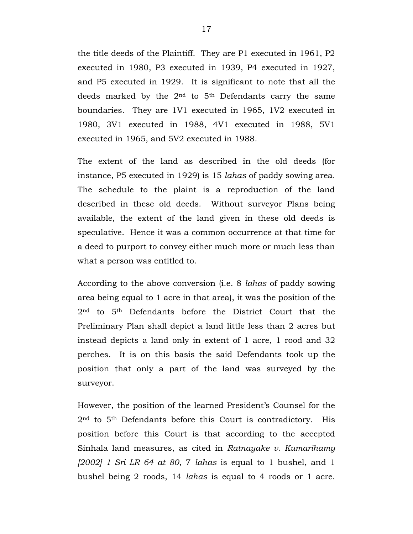the title deeds of the Plaintiff. They are P1 executed in 1961, P2 executed in 1980, P3 executed in 1939, P4 executed in 1927, and P5 executed in 1929. It is significant to note that all the deeds marked by the 2nd to 5th Defendants carry the same boundaries. They are 1V1 executed in 1965, 1V2 executed in 1980, 3V1 executed in 1988, 4V1 executed in 1988, 5V1 executed in 1965, and 5V2 executed in 1988.

The extent of the land as described in the old deeds (for instance, P5 executed in 1929) is 15 *lahas* of paddy sowing area. The schedule to the plaint is a reproduction of the land described in these old deeds. Without surveyor Plans being available, the extent of the land given in these old deeds is speculative. Hence it was a common occurrence at that time for a deed to purport to convey either much more or much less than what a person was entitled to.

According to the above conversion (i.e. 8 *lahas* of paddy sowing area being equal to 1 acre in that area), it was the position of the 2nd to 5th Defendants before the District Court that the Preliminary Plan shall depict a land little less than 2 acres but instead depicts a land only in extent of 1 acre, 1 rood and 32 perches. It is on this basis the said Defendants took up the position that only a part of the land was surveyed by the surveyor.

However, the position of the learned President's Counsel for the 2nd to 5th Defendants before this Court is contradictory. His position before this Court is that according to the accepted Sinhala land measures, as cited in *Ratnayake v. Kumarihamy [2002] 1 Sri LR 64 at 80*, 7 *lahas* is equal to 1 bushel, and 1 bushel being 2 roods, 14 *lahas* is equal to 4 roods or 1 acre.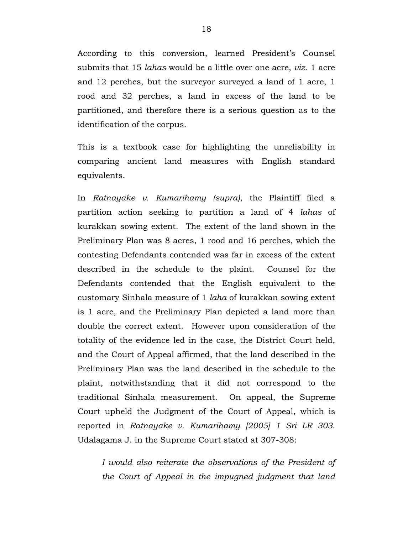According to this conversion, learned President's Counsel submits that 15 *lahas* would be a little over one acre, *viz*. 1 acre and 12 perches, but the surveyor surveyed a land of 1 acre, 1 rood and 32 perches, a land in excess of the land to be partitioned, and therefore there is a serious question as to the identification of the corpus.

This is a textbook case for highlighting the unreliability in comparing ancient land measures with English standard equivalents.

In *Ratnayake v. Kumarihamy (supra)*, the Plaintiff filed a partition action seeking to partition a land of 4 *lahas* of kurakkan sowing extent. The extent of the land shown in the Preliminary Plan was 8 acres, 1 rood and 16 perches, which the contesting Defendants contended was far in excess of the extent described in the schedule to the plaint. Counsel for the Defendants contended that the English equivalent to the customary Sinhala measure of 1 *laha* of kurakkan sowing extent is 1 acre, and the Preliminary Plan depicted a land more than double the correct extent. However upon consideration of the totality of the evidence led in the case, the District Court held, and the Court of Appeal affirmed, that the land described in the Preliminary Plan was the land described in the schedule to the plaint, notwithstanding that it did not correspond to the traditional Sinhala measurement. On appeal, the Supreme Court upheld the Judgment of the Court of Appeal, which is reported in *Ratnayake v. Kumarihamy [2005] 1 Sri LR 303*. Udalagama J. in the Supreme Court stated at 307-308:

*I would also reiterate the observations of the President of the Court of Appeal in the impugned judgment that land*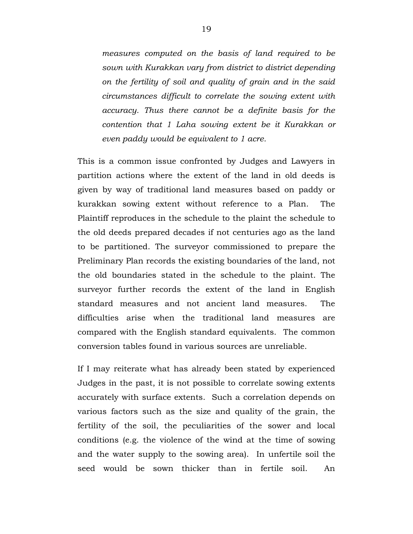*measures computed on the basis of land required to be sown with Kurakkan vary from district to district depending on the fertility of soil and quality of grain and in the said circumstances difficult to correlate the sowing extent with accuracy. Thus there cannot be a definite basis for the contention that 1 Laha sowing extent be it Kurakkan or even paddy would be equivalent to 1 acre.*

This is a common issue confronted by Judges and Lawyers in partition actions where the extent of the land in old deeds is given by way of traditional land measures based on paddy or kurakkan sowing extent without reference to a Plan. The Plaintiff reproduces in the schedule to the plaint the schedule to the old deeds prepared decades if not centuries ago as the land to be partitioned. The surveyor commissioned to prepare the Preliminary Plan records the existing boundaries of the land, not the old boundaries stated in the schedule to the plaint. The surveyor further records the extent of the land in English standard measures and not ancient land measures. The difficulties arise when the traditional land measures are compared with the English standard equivalents. The common conversion tables found in various sources are unreliable.

If I may reiterate what has already been stated by experienced Judges in the past, it is not possible to correlate sowing extents accurately with surface extents. Such a correlation depends on various factors such as the size and quality of the grain, the fertility of the soil, the peculiarities of the sower and local conditions (e.g. the violence of the wind at the time of sowing and the water supply to the sowing area). In unfertile soil the seed would be sown thicker than in fertile soil. An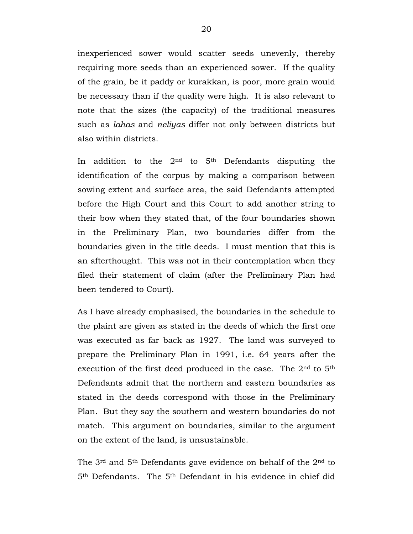inexperienced sower would scatter seeds unevenly, thereby requiring more seeds than an experienced sower. If the quality of the grain, be it paddy or kurakkan, is poor, more grain would be necessary than if the quality were high. It is also relevant to note that the sizes (the capacity) of the traditional measures such as *lahas* and *neliyas* differ not only between districts but also within districts.

In addition to the  $2<sup>nd</sup>$  to  $5<sup>th</sup>$  Defendants disputing the identification of the corpus by making a comparison between sowing extent and surface area, the said Defendants attempted before the High Court and this Court to add another string to their bow when they stated that, of the four boundaries shown in the Preliminary Plan, two boundaries differ from the boundaries given in the title deeds. I must mention that this is an afterthought. This was not in their contemplation when they filed their statement of claim (after the Preliminary Plan had been tendered to Court).

As I have already emphasised, the boundaries in the schedule to the plaint are given as stated in the deeds of which the first one was executed as far back as 1927. The land was surveyed to prepare the Preliminary Plan in 1991, i.e. 64 years after the execution of the first deed produced in the case. The 2nd to 5th Defendants admit that the northern and eastern boundaries as stated in the deeds correspond with those in the Preliminary Plan. But they say the southern and western boundaries do not match. This argument on boundaries, similar to the argument on the extent of the land, is unsustainable.

The 3rd and 5th Defendants gave evidence on behalf of the 2nd to 5th Defendants. The 5th Defendant in his evidence in chief did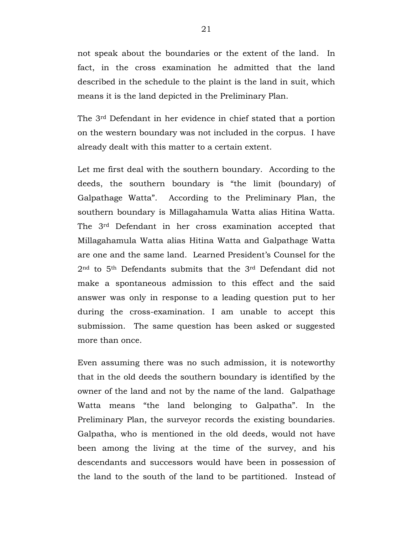not speak about the boundaries or the extent of the land. In fact, in the cross examination he admitted that the land described in the schedule to the plaint is the land in suit, which means it is the land depicted in the Preliminary Plan.

The 3rd Defendant in her evidence in chief stated that a portion on the western boundary was not included in the corpus. I have already dealt with this matter to a certain extent.

Let me first deal with the southern boundary. According to the deeds, the southern boundary is "the limit (boundary) of Galpathage Watta". According to the Preliminary Plan, the southern boundary is Millagahamula Watta alias Hitina Watta. The 3rd Defendant in her cross examination accepted that Millagahamula Watta alias Hitina Watta and Galpathage Watta are one and the same land. Learned President's Counsel for the 2nd to 5th Defendants submits that the 3rd Defendant did not make a spontaneous admission to this effect and the said answer was only in response to a leading question put to her during the cross-examination. I am unable to accept this submission. The same question has been asked or suggested more than once.

Even assuming there was no such admission, it is noteworthy that in the old deeds the southern boundary is identified by the owner of the land and not by the name of the land. Galpathage Watta means "the land belonging to Galpatha". In the Preliminary Plan, the surveyor records the existing boundaries. Galpatha, who is mentioned in the old deeds, would not have been among the living at the time of the survey, and his descendants and successors would have been in possession of the land to the south of the land to be partitioned. Instead of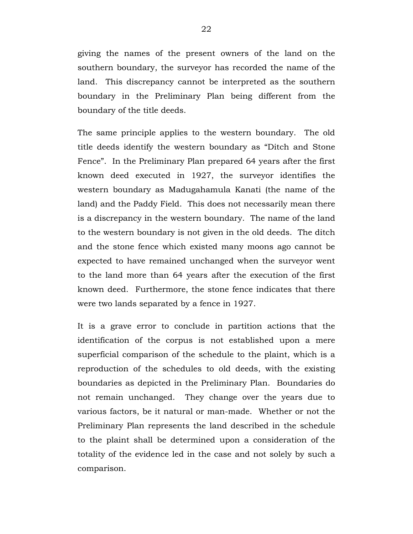giving the names of the present owners of the land on the southern boundary, the surveyor has recorded the name of the land. This discrepancy cannot be interpreted as the southern boundary in the Preliminary Plan being different from the boundary of the title deeds.

The same principle applies to the western boundary. The old title deeds identify the western boundary as "Ditch and Stone Fence". In the Preliminary Plan prepared 64 years after the first known deed executed in 1927, the surveyor identifies the western boundary as Madugahamula Kanati (the name of the land) and the Paddy Field. This does not necessarily mean there is a discrepancy in the western boundary. The name of the land to the western boundary is not given in the old deeds. The ditch and the stone fence which existed many moons ago cannot be expected to have remained unchanged when the surveyor went to the land more than 64 years after the execution of the first known deed. Furthermore, the stone fence indicates that there were two lands separated by a fence in 1927.

It is a grave error to conclude in partition actions that the identification of the corpus is not established upon a mere superficial comparison of the schedule to the plaint, which is a reproduction of the schedules to old deeds, with the existing boundaries as depicted in the Preliminary Plan. Boundaries do not remain unchanged. They change over the years due to various factors, be it natural or man-made. Whether or not the Preliminary Plan represents the land described in the schedule to the plaint shall be determined upon a consideration of the totality of the evidence led in the case and not solely by such a comparison.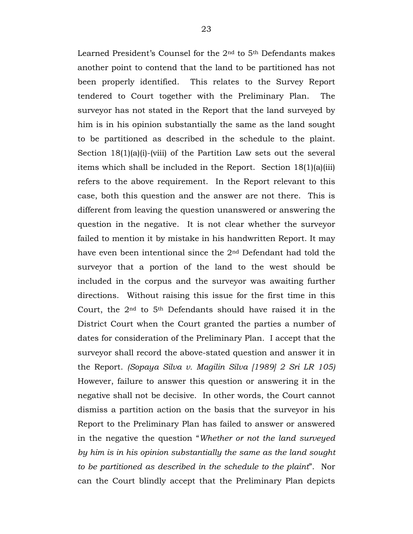Learned President's Counsel for the 2nd to 5th Defendants makes another point to contend that the land to be partitioned has not been properly identified. This relates to the Survey Report tendered to Court together with the Preliminary Plan. The surveyor has not stated in the Report that the land surveyed by him is in his opinion substantially the same as the land sought to be partitioned as described in the schedule to the plaint. Section  $18(1)(a)(i)$ -(viii) of the Partition Law sets out the several items which shall be included in the Report. Section 18(1)(a)(iii) refers to the above requirement. In the Report relevant to this case, both this question and the answer are not there. This is different from leaving the question unanswered or answering the question in the negative. It is not clear whether the surveyor failed to mention it by mistake in his handwritten Report. It may have even been intentional since the 2nd Defendant had told the surveyor that a portion of the land to the west should be included in the corpus and the surveyor was awaiting further directions. Without raising this issue for the first time in this Court, the  $2<sup>nd</sup>$  to  $5<sup>th</sup>$  Defendants should have raised it in the District Court when the Court granted the parties a number of dates for consideration of the Preliminary Plan. I accept that the surveyor shall record the above-stated question and answer it in the Report. *(Sopaya Silva v. Magilin Silva [1989] 2 Sri LR 105)* However, failure to answer this question or answering it in the negative shall not be decisive. In other words, the Court cannot dismiss a partition action on the basis that the surveyor in his Report to the Preliminary Plan has failed to answer or answered in the negative the question "*Whether or not the land surveyed by him is in his opinion substantially the same as the land sought to be partitioned as described in the schedule to the plaint*". Nor can the Court blindly accept that the Preliminary Plan depicts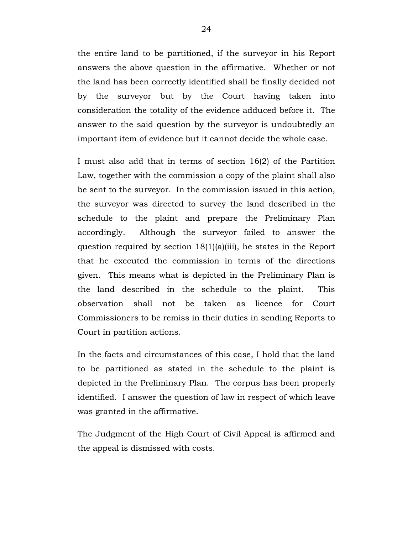the entire land to be partitioned, if the surveyor in his Report answers the above question in the affirmative. Whether or not the land has been correctly identified shall be finally decided not by the surveyor but by the Court having taken into consideration the totality of the evidence adduced before it. The answer to the said question by the surveyor is undoubtedly an important item of evidence but it cannot decide the whole case.

I must also add that in terms of section 16(2) of the Partition Law, together with the commission a copy of the plaint shall also be sent to the surveyor. In the commission issued in this action, the surveyor was directed to survey the land described in the schedule to the plaint and prepare the Preliminary Plan accordingly. Although the surveyor failed to answer the question required by section 18(1)(a)(iii), he states in the Report that he executed the commission in terms of the directions given. This means what is depicted in the Preliminary Plan is the land described in the schedule to the plaint. This observation shall not be taken as licence for Court Commissioners to be remiss in their duties in sending Reports to Court in partition actions.

In the facts and circumstances of this case, I hold that the land to be partitioned as stated in the schedule to the plaint is depicted in the Preliminary Plan. The corpus has been properly identified. I answer the question of law in respect of which leave was granted in the affirmative.

The Judgment of the High Court of Civil Appeal is affirmed and the appeal is dismissed with costs.